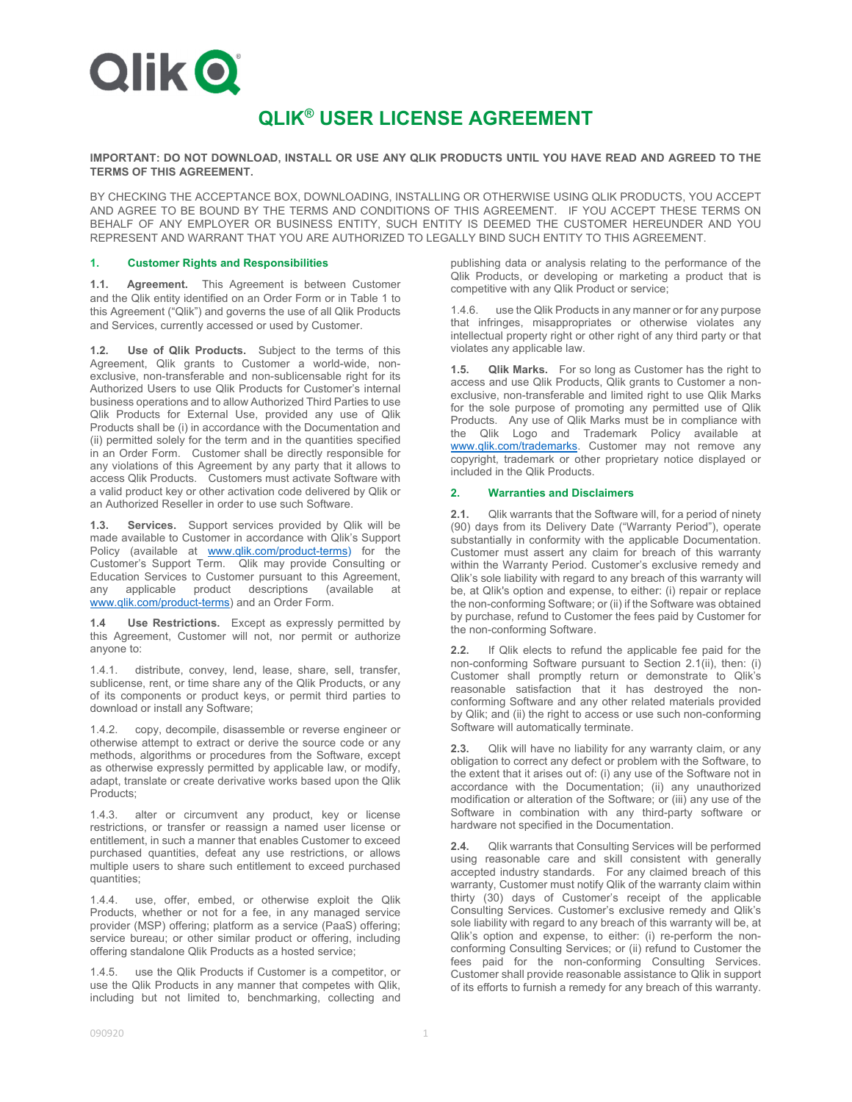

# **QLIK® USER LICENSE AGREEMENT**

#### **IMPORTANT: DO NOT DOWNLOAD, INSTALL OR USE ANY QLIK PRODUCTS UNTIL YOU HAVE READ AND AGREED TO THE TERMS OF THIS AGREEMENT.**

BY CHECKING THE ACCEPTANCE BOX, DOWNLOADING, INSTALLING OR OTHERWISE USING QLIK PRODUCTS, YOU ACCEPT AND AGREE TO BE BOUND BY THE TERMS AND CONDITIONS OF THIS AGREEMENT. IF YOU ACCEPT THESE TERMS ON BEHALF OF ANY EMPLOYER OR BUSINESS ENTITY, SUCH ENTITY IS DEEMED THE CUSTOMER HEREUNDER AND YOU REPRESENT AND WARRANT THAT YOU ARE AUTHORIZED TO LEGALLY BIND SUCH ENTITY TO THIS AGREEMENT.

#### **1. Customer Rights and Responsibilities**

**1.1. Agreement.** This Agreement is between Customer and the Qlik entity identified on an Order Form or in Table 1 to this Agreement ("Qlik") and governs the use of all Qlik Products and Services, currently accessed or used by Customer.

**1.2. Use of Qlik Products.** Subject to the terms of this Agreement, Qlik grants to Customer a world-wide, nonexclusive, non-transferable and non-sublicensable right for its Authorized Users to use Qlik Products for Customer's internal business operations and to allow Authorized Third Parties to use Qlik Products for External Use, provided any use of Qlik Products shall be (i) in accordance with the Documentation and (ii) permitted solely for the term and in the quantities specified in an Order Form. Customer shall be directly responsible for any violations of this Agreement by any party that it allows to access Qlik Products. Customers must activate Software with a valid product key or other activation code delivered by Qlik or an Authorized Reseller in order to use such Software.

**1.3. Services.** Support services provided by Qlik will be made available to Customer in accordance with Qlik's Support Policy (available at www.qlik.com/product-terms) for the Customer's Support Term. Qlik may provide Consulting or Education Services to Customer pursuant to this Agreement, any applicable product descriptions (available at www.qlik.com/product-terms) and an Order Form.

**1.4 Use Restrictions.** Except as expressly permitted by this Agreement, Customer will not, nor permit or authorize anyone to:

1.4.1. distribute, convey, lend, lease, share, sell, transfer, sublicense, rent, or time share any of the Qlik Products, or any of its components or product keys, or permit third parties to download or install any Software;

1.4.2. copy, decompile, disassemble or reverse engineer or otherwise attempt to extract or derive the source code or any methods, algorithms or procedures from the Software, except as otherwise expressly permitted by applicable law, or modify, adapt, translate or create derivative works based upon the Qlik Products;

1.4.3. alter or circumvent any product, key or license restrictions, or transfer or reassign a named user license or entitlement, in such a manner that enables Customer to exceed purchased quantities, defeat any use restrictions, or allows multiple users to share such entitlement to exceed purchased quantities;

1.4.4. use, offer, embed, or otherwise exploit the Qlik Products, whether or not for a fee, in any managed service provider (MSP) offering; platform as a service (PaaS) offering; service bureau; or other similar product or offering, including offering standalone Qlik Products as a hosted service;

1.4.5. use the Qlik Products if Customer is a competitor, or use the Qlik Products in any manner that competes with Qlik, including but not limited to, benchmarking, collecting and publishing data or analysis relating to the performance of the Qlik Products, or developing or marketing a product that is competitive with any Qlik Product or service;

1.4.6. use the Qlik Products in any manner or for any purpose that infringes, misappropriates or otherwise violates any intellectual property right or other right of any third party or that violates any applicable law.

**1.5. Qlik Marks.** For so long as Customer has the right to access and use Qlik Products, Qlik grants to Customer a nonexclusive, non-transferable and limited right to use Qlik Marks for the sole purpose of promoting any permitted use of Qlik Products. Any use of Qlik Marks must be in compliance with the Qlik Logo and Trademark Policy available at www.qlik.com/trademarks. Customer may not remove any copyright, trademark or other proprietary notice displayed or included in the Qlik Products.

#### **2. Warranties and Disclaimers**

**2.1.** Qlik warrants that the Software will, for a period of ninety (90) days from its Delivery Date ("Warranty Period"), operate substantially in conformity with the applicable Documentation. Customer must assert any claim for breach of this warranty within the Warranty Period. Customer's exclusive remedy and Qlik's sole liability with regard to any breach of this warranty will be, at Qlik's option and expense, to either: (i) repair or replace the non-conforming Software; or (ii) if the Software was obtained by purchase, refund to Customer the fees paid by Customer for the non-conforming Software.

**2.2.** If Qlik elects to refund the applicable fee paid for the non-conforming Software pursuant to Section 2.1(ii), then: (i) Customer shall promptly return or demonstrate to Qlik's reasonable satisfaction that it has destroyed the nonconforming Software and any other related materials provided by Qlik; and (ii) the right to access or use such non-conforming Software will automatically terminate.

**2.3.** Qlik will have no liability for any warranty claim, or any obligation to correct any defect or problem with the Software, to the extent that it arises out of: (i) any use of the Software not in accordance with the Documentation; (ii) any unauthorized modification or alteration of the Software; or (iii) any use of the Software in combination with any third-party software or hardware not specified in the Documentation.

**2.4.** Qlik warrants that Consulting Services will be performed using reasonable care and skill consistent with generally accepted industry standards. For any claimed breach of this warranty, Customer must notify Qlik of the warranty claim within thirty (30) days of Customer's receipt of the applicable Consulting Services. Customer's exclusive remedy and Qlik's sole liability with regard to any breach of this warranty will be, at Qlik's option and expense, to either: (i) re-perform the nonconforming Consulting Services; or (ii) refund to Customer the fees paid for the non-conforming Consulting Services. Customer shall provide reasonable assistance to Qlik in support of its efforts to furnish a remedy for any breach of this warranty.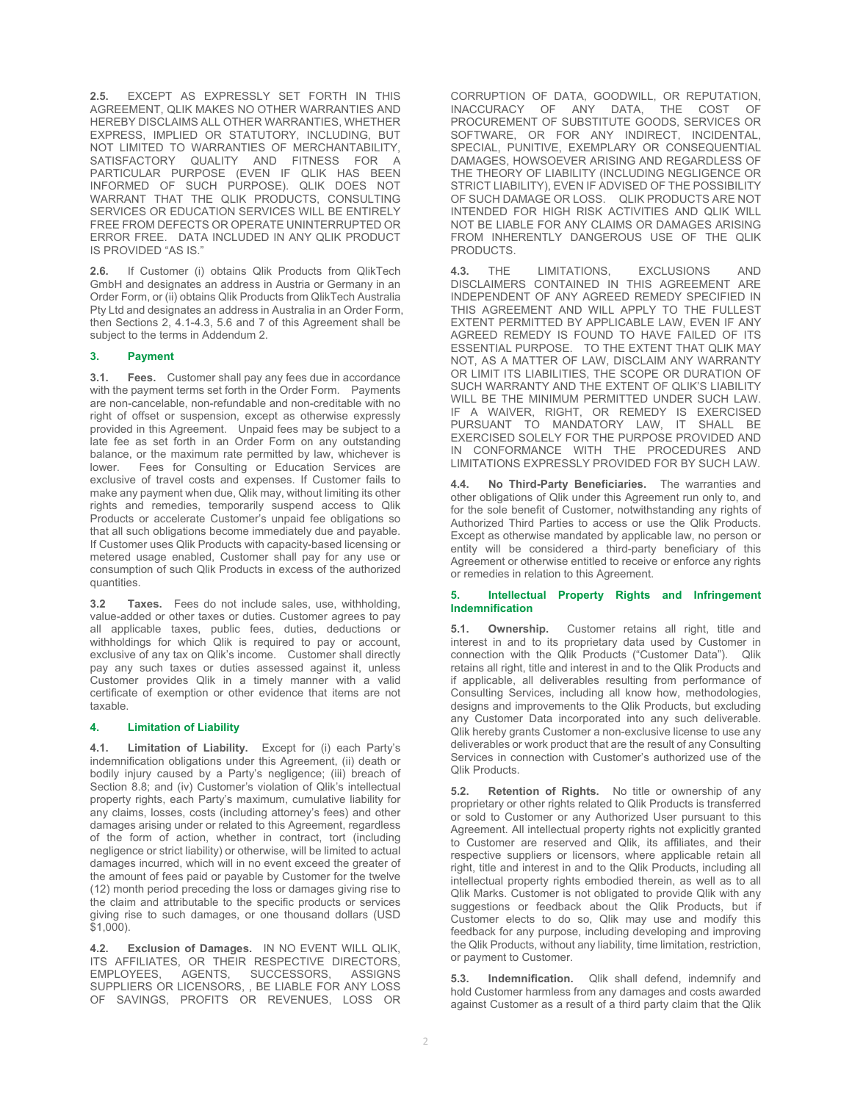**2.5.** EXCEPT AS EXPRESSLY SET FORTH IN THIS AGREEMENT, QLIK MAKES NO OTHER WARRANTIES AND HEREBY DISCLAIMS ALL OTHER WARRANTIES, WHETHER EXPRESS, IMPLIED OR STATUTORY, INCLUDING, BUT NOT LIMITED TO WARRANTIES OF MERCHANTABILITY, SATISFACTORY QUALITY AND FITNESS FOR A PARTICULAR PURPOSE (EVEN IF QLIK HAS BEEN INFORMED OF SUCH PURPOSE). QLIK DOES NOT WARRANT THAT THE QLIK PRODUCTS, CONSULTING SERVICES OR EDUCATION SERVICES WILL BE ENTIRELY FREE FROM DEFECTS OR OPERATE UNINTERRUPTED OR ERROR FREE. DATA INCLUDED IN ANY QLIK PRODUCT IS PROVIDED "AS IS."

**2.6.** If Customer (i) obtains Qlik Products from QlikTech GmbH and designates an address in Austria or Germany in an Order Form, or (ii) obtains Qlik Products from QlikTech Australia Pty Ltd and designates an address in Australia in an Order Form, then Sections 2, 4.1-4.3, 5.6 and 7 of this Agreement shall be subject to the terms in Addendum 2.

#### **3. Payment**

**3.1. Fees.** Customer shall pay any fees due in accordance with the payment terms set forth in the Order Form. Payments are non-cancelable, non-refundable and non-creditable with no right of offset or suspension, except as otherwise expressly provided in this Agreement. Unpaid fees may be subject to a late fee as set forth in an Order Form on any outstanding balance, or the maximum rate permitted by law, whichever is lower. Fees for Consulting or Education Services are exclusive of travel costs and expenses. If Customer fails to make any payment when due, Qlik may, without limiting its other rights and remedies, temporarily suspend access to Qlik Products or accelerate Customer's unpaid fee obligations so that all such obligations become immediately due and payable. If Customer uses Qlik Products with capacity-based licensing or metered usage enabled, Customer shall pay for any use or consumption of such Qlik Products in excess of the authorized quantities.

**3.2 Taxes.** Fees do not include sales, use, withholding, value-added or other taxes or duties. Customer agrees to pay all applicable taxes, public fees, duties, deductions or withholdings for which Qlik is required to pay or account, exclusive of any tax on Qlik's income. Customer shall directly pay any such taxes or duties assessed against it, unless Customer provides Qlik in a timely manner with a valid certificate of exemption or other evidence that items are not taxable.

#### **4. Limitation of Liability**

**4.1. Limitation of Liability.** Except for (i) each Party's indemnification obligations under this Agreement, (ii) death or bodily injury caused by a Party's negligence; (iii) breach of Section 8.8; and (iv) Customer's violation of Qlik's intellectual property rights, each Party's maximum, cumulative liability for any claims, losses, costs (including attorney's fees) and other damages arising under or related to this Agreement, regardless of the form of action, whether in contract, tort (including negligence or strict liability) or otherwise, will be limited to actual damages incurred, which will in no event exceed the greater of the amount of fees paid or payable by Customer for the twelve (12) month period preceding the loss or damages giving rise to the claim and attributable to the specific products or services giving rise to such damages, or one thousand dollars (USD \$1,000).

**4.2. Exclusion of Damages.** IN NO EVENT WILL QLIK, ITS AFFILIATES, OR THEIR RESPECTIVE DIRECTORS,<br>EMPLOYEES, AGENTS, SUCCESSORS, ASSIGNS SUCCESSORS, SUPPLIERS OR LICENSORS, , BE LIABLE FOR ANY LOSS OF SAVINGS, PROFITS OR REVENUES, LOSS OR

CORRUPTION OF DATA, GOODWILL, OR REPUTATION, INACCURACY OF ANY DATA, THE COST OF PROCUREMENT OF SUBSTITUTE GOODS, SERVICES OR SOFTWARE, OR FOR ANY INDIRECT, INCIDENTAL, SPECIAL, PUNITIVE, EXEMPLARY OR CONSEQUENTIAL DAMAGES, HOWSOEVER ARISING AND REGARDLESS OF THE THEORY OF LIABILITY (INCLUDING NEGLIGENCE OR STRICT LIABILITY), EVEN IF ADVISED OF THE POSSIBILITY OF SUCH DAMAGE OR LOSS. QLIK PRODUCTS ARE NOT INTENDED FOR HIGH RISK ACTIVITIES AND QLIK WILL NOT BE LIABLE FOR ANY CLAIMS OR DAMAGES ARISING FROM INHERENTLY DANGEROUS USE OF THE QLIK PRODUCTS.

**4.3.** THE LIMITATIONS, EXCLUSIONS AND DISCLAIMERS CONTAINED IN THIS AGREEMENT ARE INDEPENDENT OF ANY AGREED REMEDY SPECIFIED IN THIS AGREEMENT AND WILL APPLY TO THE FULLEST EXTENT PERMITTED BY APPLICABLE LAW, EVEN IF ANY AGREED REMEDY IS FOUND TO HAVE FAILED OF ITS ESSENTIAL PURPOSE. TO THE EXTENT THAT QLIK MAY NOT, AS A MATTER OF LAW, DISCLAIM ANY WARRANTY OR LIMIT ITS LIABILITIES, THE SCOPE OR DURATION OF SUCH WARRANTY AND THE EXTENT OF QLIK'S LIABILITY WILL BE THE MINIMUM PERMITTED UNDER SUCH LAW. IF A WAIVER, RIGHT, OR REMEDY IS EXERCISED PURSUANT TO MANDATORY LAW, IT SHALL BE EXERCISED SOLELY FOR THE PURPOSE PROVIDED AND IN CONFORMANCE WITH THE PROCEDURES AND LIMITATIONS EXPRESSLY PROVIDED FOR BY SUCH LAW.

**4.4. No Third-Party Beneficiaries.** The warranties and other obligations of Qlik under this Agreement run only to, and for the sole benefit of Customer, notwithstanding any rights of Authorized Third Parties to access or use the Qlik Products. Except as otherwise mandated by applicable law, no person or entity will be considered a third-party beneficiary of this Agreement or otherwise entitled to receive or enforce any rights or remedies in relation to this Agreement.

#### **5. Intellectual Property Rights and Infringement Indemnification**

**5.1. Ownership.** Customer retains all right, title and interest in and to its proprietary data used by Customer in connection with the Qlik Products ("Customer Data"). Qlik retains all right, title and interest in and to the Qlik Products and if applicable, all deliverables resulting from performance of Consulting Services, including all know how, methodologies, designs and improvements to the Qlik Products, but excluding any Customer Data incorporated into any such deliverable. Qlik hereby grants Customer a non-exclusive license to use any deliverables or work product that are the result of any Consulting Services in connection with Customer's authorized use of the Qlik Products.

**5.2. Retention of Rights.** No title or ownership of any proprietary or other rights related to Qlik Products is transferred or sold to Customer or any Authorized User pursuant to this Agreement. All intellectual property rights not explicitly granted to Customer are reserved and Qlik, its affiliates, and their respective suppliers or licensors, where applicable retain all right, title and interest in and to the Qlik Products, including all intellectual property rights embodied therein, as well as to all Qlik Marks. Customer is not obligated to provide Qlik with any suggestions or feedback about the Qlik Products, but if Customer elects to do so, Qlik may use and modify this feedback for any purpose, including developing and improving the Qlik Products, without any liability, time limitation, restriction, or payment to Customer.

**5.3. Indemnification.** Qlik shall defend, indemnify and hold Customer harmless from any damages and costs awarded against Customer as a result of a third party claim that the Qlik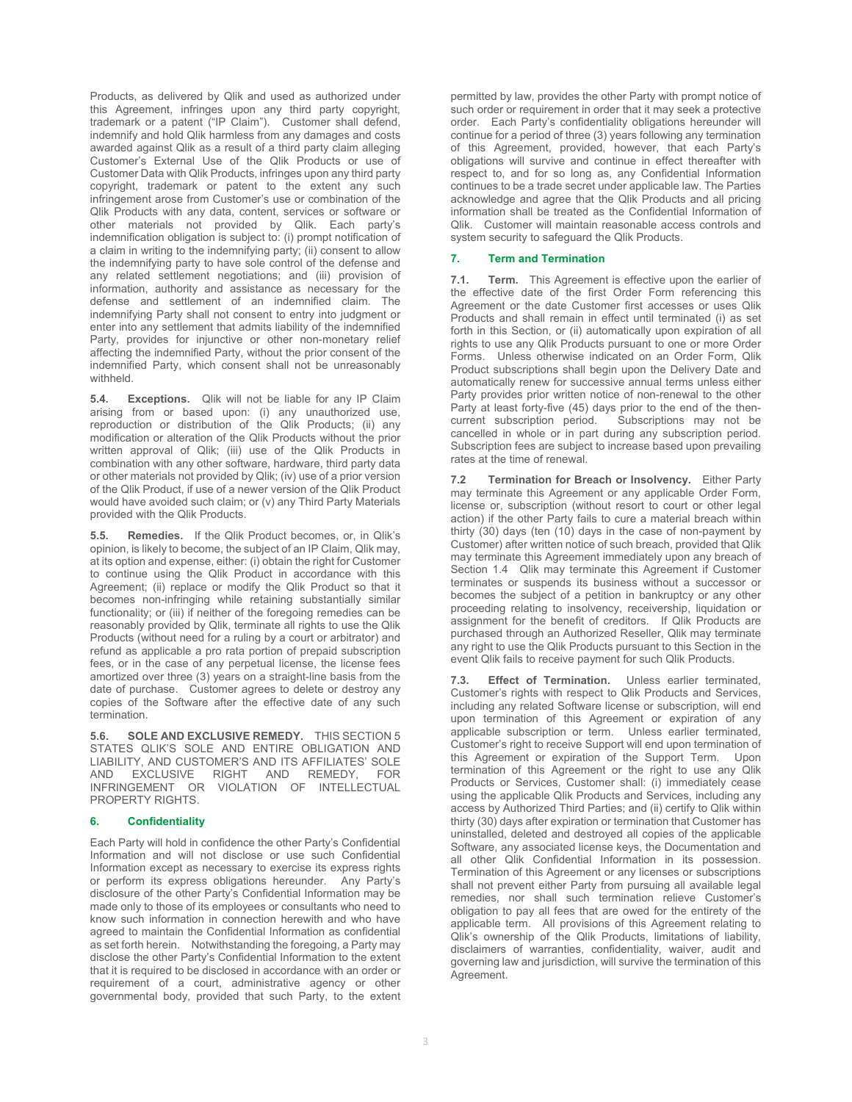Products, as delivered by Qlik and used as authorized under this Agreement, infringes upon any third party copyright, trademark or a patent ("IP Claim"). Customer shall defend, indemnify and hold Qlik harmless from any damages and costs awarded against Qlik as a result of a third party claim alleging Customer's External Use of the Qlik Products or use of Customer Data with Qlik Products, infringes upon any third party copyright, trademark or patent to the extent any such infringement arose from Customer's use or combination of the Qlik Products with any data, content, services or software or other materials not provided by Qlik. Each party's indemnification obligation is subject to: (i) prompt notification of a claim in writing to the indemnifying party; (ii) consent to allow the indemnifying party to have sole control of the defense and any related settlement negotiations; and (iii) provision of information, authority and assistance as necessary for the defense and settlement of an indemnified claim. The indemnifying Party shall not consent to entry into judgment or enter into any settlement that admits liability of the indemnified Party, provides for injunctive or other non-monetary relief affecting the indemnified Party, without the prior consent of the indemnified Party, which consent shall not be unreasonably withheld.

**5.4. Exceptions.** Qlik will not be liable for any IP Claim arising from or based upon: (i) any unauthorized use, reproduction or distribution of the Qlik Products; (ii) any modification or alteration of the Qlik Products without the prior written approval of Qlik; (iii) use of the Qlik Products in combination with any other software, hardware, third party data or other materials not provided by Qlik; (iv) use of a prior version of the Qlik Product, if use of a newer version of the Qlik Product would have avoided such claim; or (v) any Third Party Materials provided with the Qlik Products.

**5.5. Remedies.** If the Qlik Product becomes, or, in Qlik's opinion, is likely to become, the subject of an IP Claim, Qlik may, at its option and expense, either: (i) obtain the right for Customer to continue using the Qlik Product in accordance with this Agreement; (ii) replace or modify the Qlik Product so that it becomes non-infringing while retaining substantially similar functionality; or (iii) if neither of the foregoing remedies can be reasonably provided by Qlik, terminate all rights to use the Qlik Products (without need for a ruling by a court or arbitrator) and refund as applicable a pro rata portion of prepaid subscription fees, or in the case of any perpetual license, the license fees amortized over three (3) years on a straight-line basis from the date of purchase. Customer agrees to delete or destroy any copies of the Software after the effective date of any such termination.

**5.6. SOLE AND EXCLUSIVE REMEDY.** THIS SECTION 5 STATES QLIK'S SOLE AND ENTIRE OBLIGATION AND LIABILITY, AND CUSTOMER'S AND ITS AFFILIATES' SOLE AND EXCLUSIVE RIGHT AND REMEDY, FOR INFRINGEMENT OR VIOLATION OF INTELLECTUAL PROPERTY RIGHTS.

#### **6. Confidentiality**

Each Party will hold in confidence the other Party's Confidential Information and will not disclose or use such Confidential Information except as necessary to exercise its express rights or perform its express obligations hereunder. Any Party's disclosure of the other Party's Confidential Information may be made only to those of its employees or consultants who need to know such information in connection herewith and who have agreed to maintain the Confidential Information as confidential as set forth herein. Notwithstanding the foregoing, a Party may disclose the other Party's Confidential Information to the extent that it is required to be disclosed in accordance with an order or requirement of a court, administrative agency or other governmental body, provided that such Party, to the extent

permitted by law, provides the other Party with prompt notice of such order or requirement in order that it may seek a protective order. Each Party's confidentiality obligations hereunder will continue for a period of three (3) years following any termination of this Agreement, provided, however, that each Party's obligations will survive and continue in effect thereafter with respect to, and for so long as, any Confidential Information continues to be a trade secret under applicable law. The Parties acknowledge and agree that the Qlik Products and all pricing information shall be treated as the Confidential Information of Qlik. Customer will maintain reasonable access controls and system security to safeguard the Qlik Products.

#### **7. Term and Termination**

**7.1. Term.** This Agreement is effective upon the earlier of the effective date of the first Order Form referencing this Agreement or the date Customer first accesses or uses Qlik Products and shall remain in effect until terminated (i) as set forth in this Section, or (ii) automatically upon expiration of all rights to use any Qlik Products pursuant to one or more Order Forms. Unless otherwise indicated on an Order Form, Qlik Product subscriptions shall begin upon the Delivery Date and automatically renew for successive annual terms unless either Party provides prior written notice of non-renewal to the other Party at least forty-five (45) days prior to the end of the then-<br>current subscription period. Subscriptions may not be Subscriptions may not be cancelled in whole or in part during any subscription period. Subscription fees are subject to increase based upon prevailing rates at the time of renewal.

**7.2 Termination for Breach or Insolvency.** Either Party may terminate this Agreement or any applicable Order Form, license or, subscription (without resort to court or other legal action) if the other Party fails to cure a material breach within thirty (30) days (ten (10) days in the case of non-payment by Customer) after written notice of such breach, provided that Qlik may terminate this Agreement immediately upon any breach of Section 1.4 Qlik may terminate this Agreement if Customer terminates or suspends its business without a successor or becomes the subject of a petition in bankruptcy or any other proceeding relating to insolvency, receivership, liquidation or assignment for the benefit of creditors. If Qlik Products are purchased through an Authorized Reseller, Qlik may terminate any right to use the Qlik Products pursuant to this Section in the event Qlik fails to receive payment for such Qlik Products.

**7.3. Effect of Termination.** Unless earlier terminated, Customer's rights with respect to Qlik Products and Services, including any related Software license or subscription, will end upon termination of this Agreement or expiration of any applicable subscription or term. Unless earlier terminated, Customer's right to receive Support will end upon termination of this Agreement or expiration of the Support Term. Upon termination of this Agreement or the right to use any Qlik Products or Services, Customer shall: (i) immediately cease using the applicable Qlik Products and Services, including any access by Authorized Third Parties; and (ii) certify to Qlik within thirty (30) days after expiration or termination that Customer has uninstalled, deleted and destroyed all copies of the applicable Software, any associated license keys, the Documentation and all other Qlik Confidential Information in its possession. Termination of this Agreement or any licenses or subscriptions shall not prevent either Party from pursuing all available legal remedies, nor shall such termination relieve Customer's obligation to pay all fees that are owed for the entirety of the applicable term. All provisions of this Agreement relating to Qlik's ownership of the Qlik Products, limitations of liability, disclaimers of warranties, confidentiality, waiver, audit and governing law and jurisdiction, will survive the termination of this Agreement.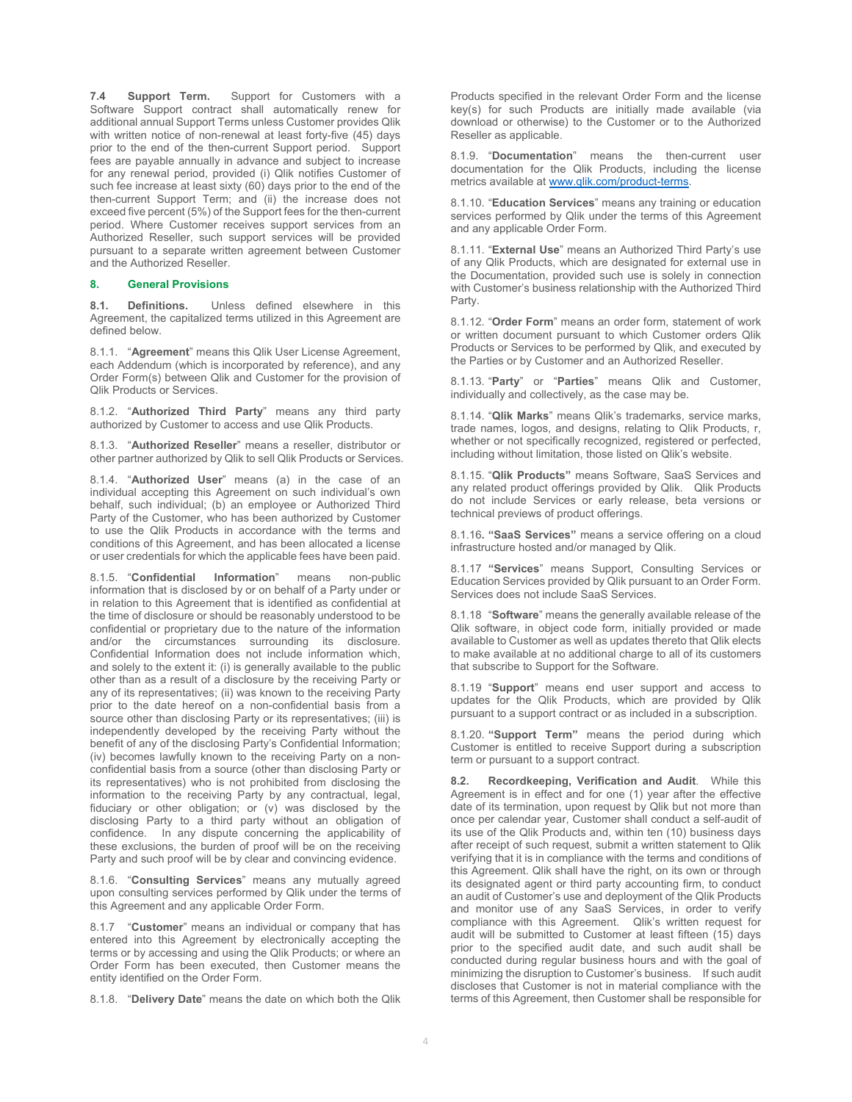**7.4 Support Term.** Support for Customers with a Software Support contract shall automatically renew for additional annual Support Terms unless Customer provides Qlik with written notice of non-renewal at least forty-five (45) days prior to the end of the then-current Support period. Support fees are payable annually in advance and subject to increase for any renewal period, provided (i) Qlik notifies Customer of such fee increase at least sixty (60) days prior to the end of the then-current Support Term; and (ii) the increase does not exceed five percent (5%) of the Support fees for the then-current period. Where Customer receives support services from an Authorized Reseller, such support services will be provided pursuant to a separate written agreement between Customer and the Authorized Reseller.

#### **8. General Provisions**

**8.1. Definitions.** Unless defined elsewhere in this Agreement, the capitalized terms utilized in this Agreement are defined below.

8.1.1. "**Agreement**" means this Qlik User License Agreement, each Addendum (which is incorporated by reference), and any Order Form(s) between Qlik and Customer for the provision of Qlik Products or Services.

8.1.2. "**Authorized Third Party**" means any third party authorized by Customer to access and use Qlik Products.

8.1.3. "**Authorized Reseller**" means a reseller, distributor or other partner authorized by Qlik to sell Qlik Products or Services.

8.1.4. "**Authorized User**" means (a) in the case of an individual accepting this Agreement on such individual's own behalf, such individual; (b) an employee or Authorized Third Party of the Customer, who has been authorized by Customer to use the Qlik Products in accordance with the terms and conditions of this Agreement, and has been allocated a license or user credentials for which the applicable fees have been paid.

8.1.5. "**Confidential Information**" means non-public information that is disclosed by or on behalf of a Party under or in relation to this Agreement that is identified as confidential at the time of disclosure or should be reasonably understood to be confidential or proprietary due to the nature of the information and/or the circumstances surrounding its disclosure. Confidential Information does not include information which, and solely to the extent it: (i) is generally available to the public other than as a result of a disclosure by the receiving Party or any of its representatives; (ii) was known to the receiving Party prior to the date hereof on a non-confidential basis from a source other than disclosing Party or its representatives; (iii) is independently developed by the receiving Party without the benefit of any of the disclosing Party's Confidential Information; (iv) becomes lawfully known to the receiving Party on a nonconfidential basis from a source (other than disclosing Party or its representatives) who is not prohibited from disclosing the information to the receiving Party by any contractual, legal, fiduciary or other obligation; or (v) was disclosed by the disclosing Party to a third party without an obligation of confidence. In any dispute concerning the applicability of these exclusions, the burden of proof will be on the receiving Party and such proof will be by clear and convincing evidence.

8.1.6. "**Consulting Services**" means any mutually agreed upon consulting services performed by Qlik under the terms of this Agreement and any applicable Order Form.

8.1.7 "**Customer**" means an individual or company that has entered into this Agreement by electronically accepting the terms or by accessing and using the Qlik Products; or where an Order Form has been executed, then Customer means the entity identified on the Order Form.

8.1.8. "**Delivery Date**" means the date on which both the Qlik

Products specified in the relevant Order Form and the license key(s) for such Products are initially made available (via download or otherwise) to the Customer or to the Authorized Reseller as applicable.

8.1.9. "**Documentation**" means the then-current user documentation for the Qlik Products, including the license metrics available at www.qlik.com/product-terms.

8.1.10. "**Education Services**" means any training or education services performed by Qlik under the terms of this Agreement and any applicable Order Form.

8.1.11. "**External Use**" means an Authorized Third Party's use of any Qlik Products, which are designated for external use in the Documentation, provided such use is solely in connection with Customer's business relationship with the Authorized Third Party.

8.1.12. "**Order Form**" means an order form, statement of work or written document pursuant to which Customer orders Qlik Products or Services to be performed by Qlik, and executed by the Parties or by Customer and an Authorized Reseller.

8.1.13. "**Party**" or "**Parties**" means Qlik and Customer, individually and collectively, as the case may be.

8.1.14. "**Qlik Marks**" means Qlik's trademarks, service marks, trade names, logos, and designs, relating to Qlik Products, r, whether or not specifically recognized, registered or perfected, including without limitation, those listed on Qlik's website.

8.1.15. "**Qlik Products"** means Software, SaaS Services and any related product offerings provided by Qlik. Qlik Products do not include Services or early release, beta versions or technical previews of product offerings.

8.1.16**. "SaaS Services"** means a service offering on a cloud infrastructure hosted and/or managed by Qlik.

8.1.17 **"Services**" means Support, Consulting Services or Education Services provided by Qlik pursuant to an Order Form. Services does not include SaaS Services.

8.1.18 "**Software**" means the generally available release of the Qlik software, in object code form, initially provided or made available to Customer as well as updates thereto that Qlik elects to make available at no additional charge to all of its customers that subscribe to Support for the Software.

8.1.19 "**Support**" means end user support and access to updates for the Qlik Products, which are provided by Qlik pursuant to a support contract or as included in a subscription.

8.1.20. **"Support Term"** means the period during which Customer is entitled to receive Support during a subscription term or pursuant to a support contract.

**8.2. Recordkeeping, Verification and Audit**. While this Agreement is in effect and for one (1) year after the effective date of its termination, upon request by Qlik but not more than once per calendar year, Customer shall conduct a self-audit of its use of the Qlik Products and, within ten (10) business days after receipt of such request, submit a written statement to Qlik verifying that it is in compliance with the terms and conditions of this Agreement. Qlik shall have the right, on its own or through its designated agent or third party accounting firm, to conduct an audit of Customer's use and deployment of the Qlik Products and monitor use of any SaaS Services, in order to verify compliance with this Agreement. Qlik's written request for audit will be submitted to Customer at least fifteen (15) days prior to the specified audit date, and such audit shall be conducted during regular business hours and with the goal of minimizing the disruption to Customer's business. If such audit discloses that Customer is not in material compliance with the terms of this Agreement, then Customer shall be responsible for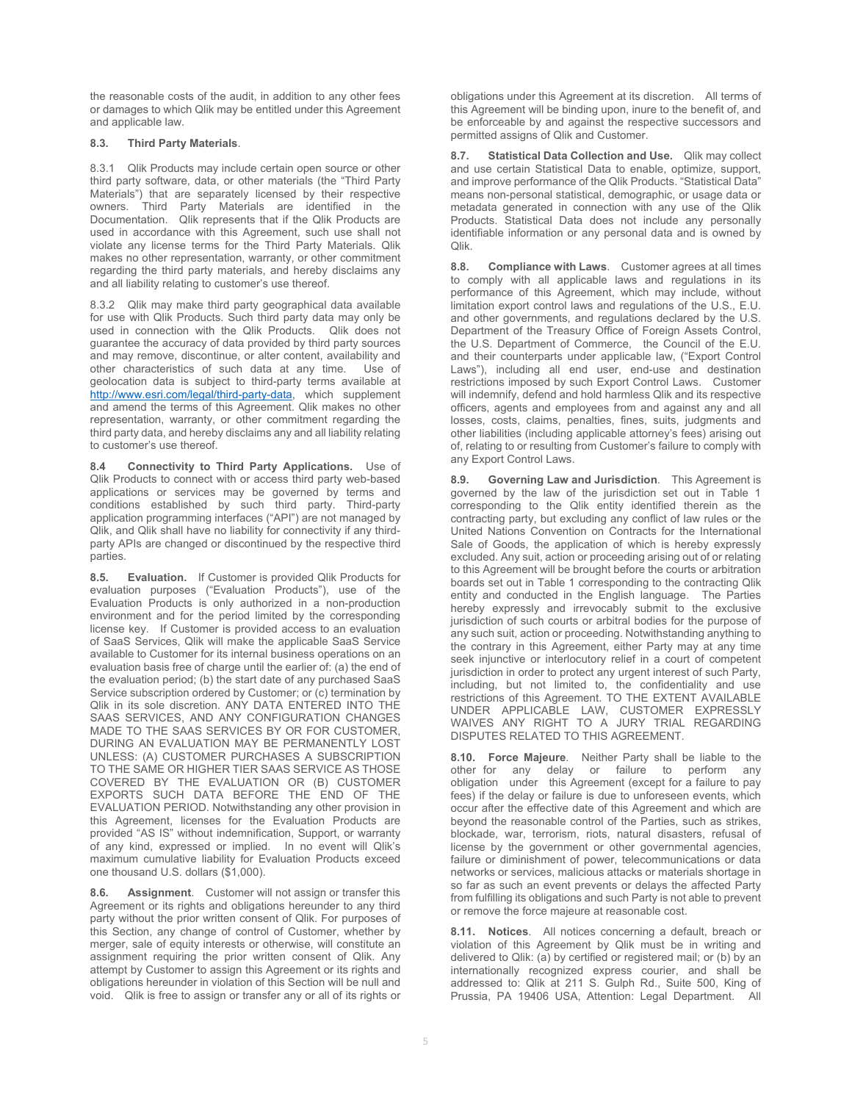the reasonable costs of the audit, in addition to any other fees or damages to which Qlik may be entitled under this Agreement and applicable law.

#### **8.3. Third Party Materials**.

8.3.1 Qlik Products may include certain open source or other third party software, data, or other materials (the "Third Party Materials") that are separately licensed by their respective owners. Third Party Materials are identified in the Documentation. Qlik represents that if the Qlik Products are used in accordance with this Agreement, such use shall not violate any license terms for the Third Party Materials. Qlik makes no other representation, warranty, or other commitment regarding the third party materials, and hereby disclaims any and all liability relating to customer's use thereof.

8.3.2 Qlik may make third party geographical data available for use with Qlik Products. Such third party data may only be used in connection with the Qlik Products. Qlik does not guarantee the accuracy of data provided by third party sources and may remove, discontinue, or alter content, availability and other characteristics of such data at any time. Use of geolocation data is subject to third-party terms available at http://www.esri.com/legal/third-party-data, which supplement and amend the terms of this Agreement. Qlik makes no other representation, warranty, or other commitment regarding the third party data, and hereby disclaims any and all liability relating to customer's use thereof.

**8.4 Connectivity to Third Party Applications.** Use of Qlik Products to connect with or access third party web-based applications or services may be governed by terms and conditions established by such third party. Third-party application programming interfaces ("API") are not managed by Qlik, and Qlik shall have no liability for connectivity if any thirdparty APIs are changed or discontinued by the respective third parties.

**8.5. Evaluation.** If Customer is provided Qlik Products for evaluation purposes ("Evaluation Products"), use of the Evaluation Products is only authorized in a non-production environment and for the period limited by the corresponding license key. If Customer is provided access to an evaluation of SaaS Services, Qlik will make the applicable SaaS Service available to Customer for its internal business operations on an evaluation basis free of charge until the earlier of: (a) the end of the evaluation period; (b) the start date of any purchased SaaS Service subscription ordered by Customer; or (c) termination by Qlik in its sole discretion. ANY DATA ENTERED INTO THE SAAS SERVICES, AND ANY CONFIGURATION CHANGES MADE TO THE SAAS SERVICES BY OR FOR CUSTOMER, DURING AN EVALUATION MAY BE PERMANENTLY LOST UNLESS: (A) CUSTOMER PURCHASES A SUBSCRIPTION TO THE SAME OR HIGHER TIER SAAS SERVICE AS THOSE COVERED BY THE EVALUATION OR (B) CUSTOMER EXPORTS SUCH DATA BEFORE THE END OF THE EVALUATION PERIOD. Notwithstanding any other provision in this Agreement, licenses for the Evaluation Products are provided "AS IS" without indemnification, Support, or warranty of any kind, expressed or implied. In no event will Qlik's maximum cumulative liability for Evaluation Products exceed one thousand U.S. dollars (\$1,000).

**8.6. Assignment**. Customer will not assign or transfer this Agreement or its rights and obligations hereunder to any third party without the prior written consent of Qlik. For purposes of this Section, any change of control of Customer, whether by merger, sale of equity interests or otherwise, will constitute an assignment requiring the prior written consent of Qlik. Any attempt by Customer to assign this Agreement or its rights and obligations hereunder in violation of this Section will be null and void. Qlik is free to assign or transfer any or all of its rights or obligations under this Agreement at its discretion. All terms of this Agreement will be binding upon, inure to the benefit of, and be enforceable by and against the respective successors and permitted assigns of Qlik and Customer.

**8.7. Statistical Data Collection and Use.** Qlik may collect and use certain Statistical Data to enable, optimize, support, and improve performance of the Qlik Products. "Statistical Data" means non-personal statistical, demographic, or usage data or metadata generated in connection with any use of the Qlik Products. Statistical Data does not include any personally identifiable information or any personal data and is owned by Qlik.

**8.8. Compliance with Laws**. Customer agrees at all times to comply with all applicable laws and regulations in its performance of this Agreement, which may include, without limitation export control laws and regulations of the U.S., E.U. and other governments, and regulations declared by the U.S. Department of the Treasury Office of Foreign Assets Control, the U.S. Department of Commerce, the Council of the E.U. and their counterparts under applicable law, ("Export Control Laws"), including all end user, end-use and destination restrictions imposed by such Export Control Laws. Customer will indemnify, defend and hold harmless Qlik and its respective officers, agents and employees from and against any and all losses, costs, claims, penalties, fines, suits, judgments and other liabilities (including applicable attorney's fees) arising out of, relating to or resulting from Customer's failure to comply with any Export Control Laws.

**8.9. Governing Law and Jurisdiction**. This Agreement is governed by the law of the jurisdiction set out in Table 1 corresponding to the Qlik entity identified therein as the contracting party, but excluding any conflict of law rules or the United Nations Convention on Contracts for the International Sale of Goods, the application of which is hereby expressly excluded. Any suit, action or proceeding arising out of or relating to this Agreement will be brought before the courts or arbitration boards set out in Table 1 corresponding to the contracting Qlik entity and conducted in the English language. The Parties hereby expressly and irrevocably submit to the exclusive jurisdiction of such courts or arbitral bodies for the purpose of any such suit, action or proceeding. Notwithstanding anything to the contrary in this Agreement, either Party may at any time seek injunctive or interlocutory relief in a court of competent jurisdiction in order to protect any urgent interest of such Party, including, but not limited to, the confidentiality and use restrictions of this Agreement. TO THE EXTENT AVAILABLE UNDER APPLICABLE LAW, CUSTOMER EXPRESSLY WAIVES ANY RIGHT TO A JURY TRIAL REGARDING DISPUTES RELATED TO THIS AGREEMENT.

**8.10. Force Majeure**. Neither Party shall be liable to the other for any delay or failure to perform any obligation under this Agreement (except for a failure to pay fees) if the delay or failure is due to unforeseen events, which occur after the effective date of this Agreement and which are beyond the reasonable control of the Parties, such as strikes, blockade, war, terrorism, riots, natural disasters, refusal of license by the government or other governmental agencies, failure or diminishment of power, telecommunications or data networks or services, malicious attacks or materials shortage in so far as such an event prevents or delays the affected Party from fulfilling its obligations and such Party is not able to prevent or remove the force majeure at reasonable cost.

**8.11. Notices**. All notices concerning a default, breach or violation of this Agreement by Qlik must be in writing and delivered to Qlik: (a) by certified or registered mail; or (b) by an internationally recognized express courier, and shall be addressed to: Qlik at 211 S. Gulph Rd., Suite 500, King of Prussia, PA 19406 USA, Attention: Legal Department. All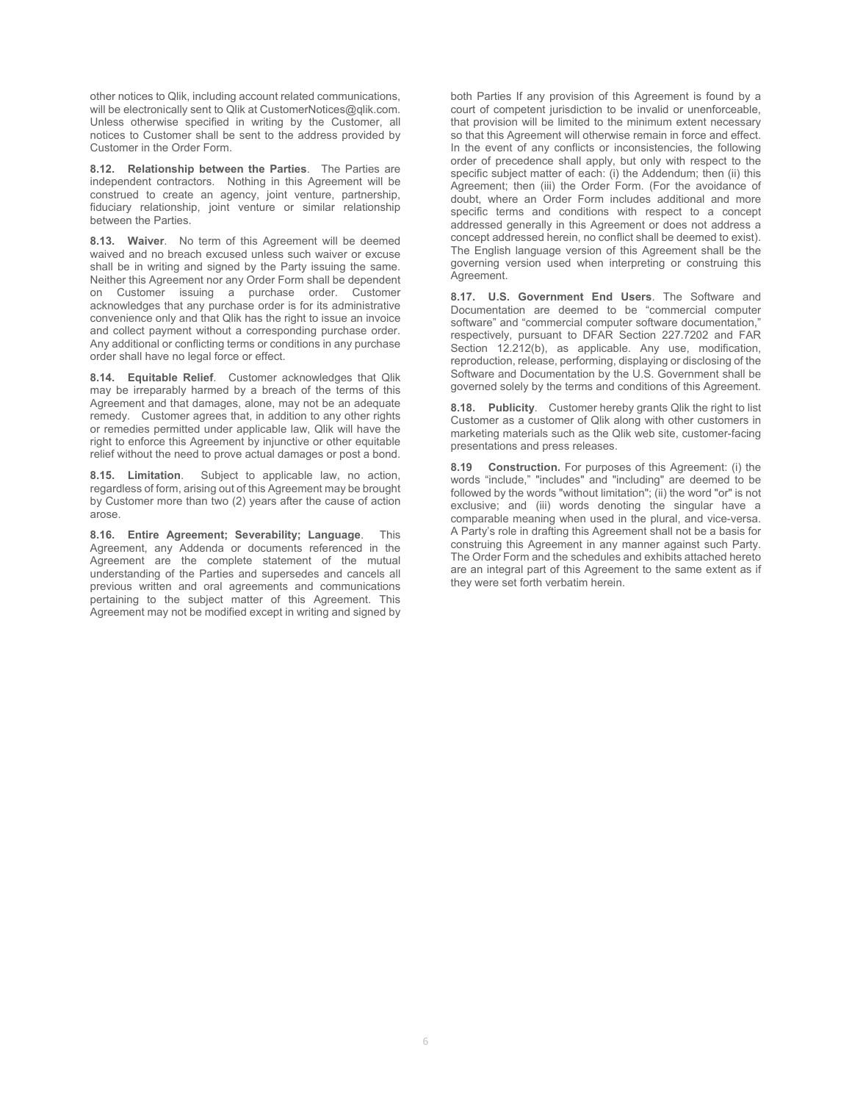other notices to Qlik, including account related communications, will be electronically sent to Qlik at CustomerNotices@qlik.com. Unless otherwise specified in writing by the Customer, all notices to Customer shall be sent to the address provided by Customer in the Order Form.

**8.12. Relationship between the Parties**. The Parties are independent contractors. Nothing in this Agreement will be construed to create an agency, joint venture, partnership, fiduciary relationship, joint venture or similar relationship between the Parties.

**8.13. Waiver**. No term of this Agreement will be deemed waived and no breach excused unless such waiver or excuse shall be in writing and signed by the Party issuing the same. Neither this Agreement nor any Order Form shall be dependent on Customer issuing a purchase order. Customer acknowledges that any purchase order is for its administrative convenience only and that Qlik has the right to issue an invoice and collect payment without a corresponding purchase order. Any additional or conflicting terms or conditions in any purchase order shall have no legal force or effect.

**8.14. Equitable Relief**. Customer acknowledges that Qlik may be irreparably harmed by a breach of the terms of this Agreement and that damages, alone, may not be an adequate remedy. Customer agrees that, in addition to any other rights or remedies permitted under applicable law, Qlik will have the right to enforce this Agreement by injunctive or other equitable relief without the need to prove actual damages or post a bond.

**8.15. Limitation**. Subject to applicable law, no action, regardless of form, arising out of this Agreement may be brought by Customer more than two (2) years after the cause of action arose.

**8.16. Entire Agreement; Severability; Language**. This Agreement, any Addenda or documents referenced in the Agreement are the complete statement of the mutual understanding of the Parties and supersedes and cancels all previous written and oral agreements and communications pertaining to the subject matter of this Agreement. This Agreement may not be modified except in writing and signed by both Parties If any provision of this Agreement is found by a court of competent jurisdiction to be invalid or unenforceable, that provision will be limited to the minimum extent necessary so that this Agreement will otherwise remain in force and effect. In the event of any conflicts or inconsistencies, the following order of precedence shall apply, but only with respect to the specific subject matter of each: (i) the Addendum; then (ii) this Agreement; then (iii) the Order Form. (For the avoidance of doubt, where an Order Form includes additional and more specific terms and conditions with respect to a concept addressed generally in this Agreement or does not address a concept addressed herein, no conflict shall be deemed to exist). The English language version of this Agreement shall be the governing version used when interpreting or construing this Agreement.

**8.17. U.S. Government End Users**. The Software and Documentation are deemed to be "commercial computer software" and "commercial computer software documentation," respectively, pursuant to DFAR Section 227.7202 and FAR Section 12.212(b), as applicable. Any use, modification, reproduction, release, performing, displaying or disclosing of the Software and Documentation by the U.S. Government shall be governed solely by the terms and conditions of this Agreement.

**8.18. Publicity**. Customer hereby grants Qlik the right to list Customer as a customer of Qlik along with other customers in marketing materials such as the Qlik web site, customer-facing presentations and press releases.

**8.19 Construction.** For purposes of this Agreement: (i) the words "include," "includes" and "including" are deemed to be followed by the words "without limitation"; (ii) the word "or" is not exclusive; and (iii) words denoting the singular have a comparable meaning when used in the plural, and vice-versa. A Party's role in drafting this Agreement shall not be a basis for construing this Agreement in any manner against such Party. The Order Form and the schedules and exhibits attached hereto are an integral part of this Agreement to the same extent as if they were set forth verbatim herein.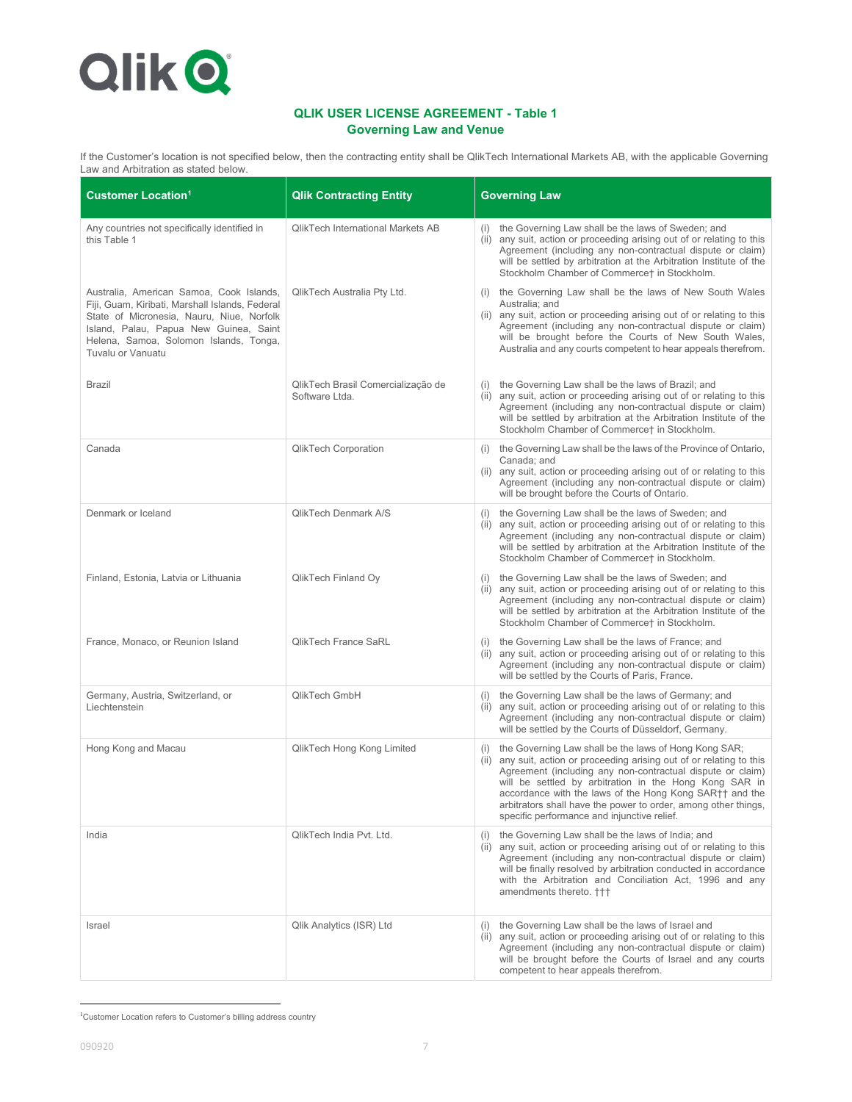

# **QLIK USER LICENSE AGREEMENT - Table 1 Governing Law and Venue**

If the Customer's location is not specified below, then the contracting entity shall be QlikTech International Markets AB, with the applicable Governing Law and Arbitration as stated below.

| <b>Customer Location<sup>1</sup></b>                                                                                                                                                                                                              | <b>Qlik Contracting Entity</b>                       | <b>Governing Law</b>                                                                                                                                                                                                                                                                                                                                                                                                                    |
|---------------------------------------------------------------------------------------------------------------------------------------------------------------------------------------------------------------------------------------------------|------------------------------------------------------|-----------------------------------------------------------------------------------------------------------------------------------------------------------------------------------------------------------------------------------------------------------------------------------------------------------------------------------------------------------------------------------------------------------------------------------------|
| Any countries not specifically identified in<br>this Table 1                                                                                                                                                                                      | <b>QlikTech International Markets AB</b>             | (i) the Governing Law shall be the laws of Sweden; and<br>(ii) any suit, action or proceeding arising out of or relating to this<br>Agreement (including any non-contractual dispute or claim)<br>will be settled by arbitration at the Arbitration Institute of the<br>Stockholm Chamber of Commerce† in Stockholm.                                                                                                                    |
| Australia, American Samoa, Cook Islands,<br>Fiji, Guam, Kiribati, Marshall Islands, Federal<br>State of Micronesia, Nauru, Niue, Norfolk<br>Island, Palau, Papua New Guinea, Saint<br>Helena, Samoa, Solomon Islands, Tonga,<br>Tuvalu or Vanuatu | QlikTech Australia Pty Ltd.                          | (i) the Governing Law shall be the laws of New South Wales<br>Australia; and<br>(ii) any suit, action or proceeding arising out of or relating to this<br>Agreement (including any non-contractual dispute or claim)<br>will be brought before the Courts of New South Wales,<br>Australia and any courts competent to hear appeals therefrom.                                                                                          |
| <b>Brazil</b>                                                                                                                                                                                                                                     | QlikTech Brasil Comercialização de<br>Software Ltda. | (i) the Governing Law shall be the laws of Brazil; and<br>(ii) any suit, action or proceeding arising out of or relating to this<br>Agreement (including any non-contractual dispute or claim)<br>will be settled by arbitration at the Arbitration Institute of the<br>Stockholm Chamber of Commerce† in Stockholm.                                                                                                                    |
| Canada                                                                                                                                                                                                                                            | <b>QlikTech Corporation</b>                          | (i) the Governing Law shall be the laws of the Province of Ontario,<br>Canada; and<br>(ii) any suit, action or proceeding arising out of or relating to this<br>Agreement (including any non-contractual dispute or claim)<br>will be brought before the Courts of Ontario.                                                                                                                                                             |
| Denmark or Iceland                                                                                                                                                                                                                                | <b>QlikTech Denmark A/S</b>                          | (i) the Governing Law shall be the laws of Sweden; and<br>(ii) any suit, action or proceeding arising out of or relating to this<br>Agreement (including any non-contractual dispute or claim)<br>will be settled by arbitration at the Arbitration Institute of the<br>Stockholm Chamber of Commerce† in Stockholm.                                                                                                                    |
| Finland, Estonia, Latvia or Lithuania                                                                                                                                                                                                             | QlikTech Finland Oy                                  | (i) the Governing Law shall be the laws of Sweden; and<br>(ii) any suit, action or proceeding arising out of or relating to this<br>Agreement (including any non-contractual dispute or claim)<br>will be settled by arbitration at the Arbitration Institute of the<br>Stockholm Chamber of Commerce† in Stockholm.                                                                                                                    |
| France, Monaco, or Reunion Island                                                                                                                                                                                                                 | QlikTech France SaRL                                 | (i) the Governing Law shall be the laws of France; and<br>(ii) any suit, action or proceeding arising out of or relating to this<br>Agreement (including any non-contractual dispute or claim)<br>will be settled by the Courts of Paris, France.                                                                                                                                                                                       |
| Germany, Austria, Switzerland, or<br>Liechtenstein                                                                                                                                                                                                | QlikTech GmbH                                        | (i) the Governing Law shall be the laws of Germany; and<br>(ii) any suit, action or proceeding arising out of or relating to this<br>Agreement (including any non-contractual dispute or claim)<br>will be settled by the Courts of Düsseldorf, Germany.                                                                                                                                                                                |
| Hong Kong and Macau                                                                                                                                                                                                                               | QlikTech Hong Kong Limited                           | (i) the Governing Law shall be the laws of Hong Kong SAR;<br>(ii) any suit, action or proceeding arising out of or relating to this<br>Agreement (including any non-contractual dispute or claim)<br>will be settled by arbitration in the Hong Kong SAR in<br>accordance with the laws of the Hong Kong SAR++ and the<br>arbitrators shall have the power to order, among other things,<br>specific performance and injunctive relief. |
| India                                                                                                                                                                                                                                             | QlikTech India Pvt. Ltd.                             | (i) the Governing Law shall be the laws of India; and<br>(ii) any suit, action or proceeding arising out of or relating to this<br>Agreement (including any non-contractual dispute or claim)<br>will be finally resolved by arbitration conducted in accordance<br>with the Arbitration and Conciliation Act, 1996 and any<br>amendments thereto. +++                                                                                  |
| Israel                                                                                                                                                                                                                                            | Qlik Analytics (ISR) Ltd                             | the Governing Law shall be the laws of Israel and<br>(ii) any suit, action or proceeding arising out of or relating to this<br>Agreement (including any non-contractual dispute or claim)<br>will be brought before the Courts of Israel and any courts<br>competent to hear appeals therefrom.                                                                                                                                         |

<sup>&</sup>lt;sup>1</sup>Customer Location refers to Customer's billing address country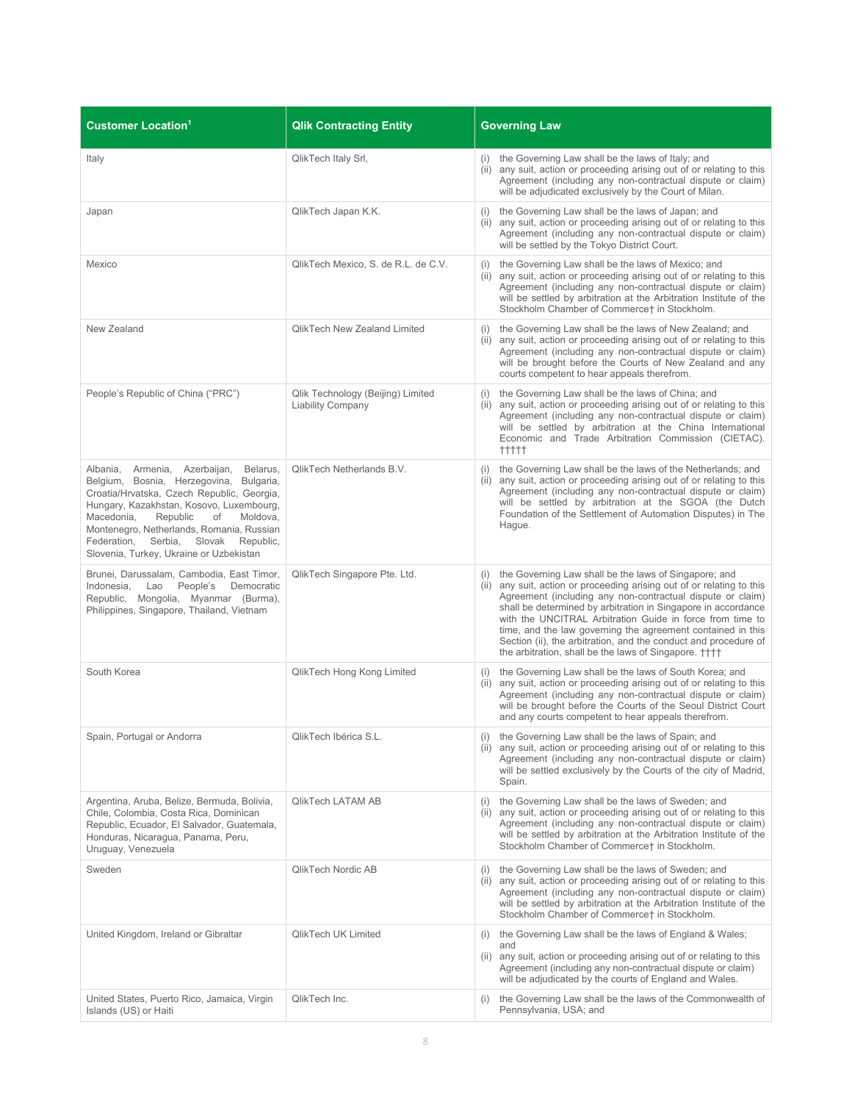| <b>Customer Location<sup>1</sup></b>                                                                                                                                                                                                                                                                                                                                   | <b>Qlik Contracting Entity</b>                                | <b>Governing Law</b>                                                                                                                                                                                                                                                                                                                                                                                                                                                                                                       |
|------------------------------------------------------------------------------------------------------------------------------------------------------------------------------------------------------------------------------------------------------------------------------------------------------------------------------------------------------------------------|---------------------------------------------------------------|----------------------------------------------------------------------------------------------------------------------------------------------------------------------------------------------------------------------------------------------------------------------------------------------------------------------------------------------------------------------------------------------------------------------------------------------------------------------------------------------------------------------------|
| Italy                                                                                                                                                                                                                                                                                                                                                                  | QlikTech Italy Srl,                                           | (i) the Governing Law shall be the laws of Italy; and<br>(ii) any suit, action or proceeding arising out of or relating to this<br>Agreement (including any non-contractual dispute or claim)<br>will be adjudicated exclusively by the Court of Milan.                                                                                                                                                                                                                                                                    |
| Japan                                                                                                                                                                                                                                                                                                                                                                  | QlikTech Japan K.K.                                           | (i) the Governing Law shall be the laws of Japan; and<br>(ii) any suit, action or proceeding arising out of or relating to this<br>Agreement (including any non-contractual dispute or claim)<br>will be settled by the Tokyo District Court.                                                                                                                                                                                                                                                                              |
| Mexico                                                                                                                                                                                                                                                                                                                                                                 | QlikTech Mexico, S. de R.L. de C.V.                           | (i) the Governing Law shall be the laws of Mexico; and<br>(ii) any suit, action or proceeding arising out of or relating to this<br>Agreement (including any non-contractual dispute or claim)<br>will be settled by arbitration at the Arbitration Institute of the<br>Stockholm Chamber of Commerce† in Stockholm.                                                                                                                                                                                                       |
| New Zealand                                                                                                                                                                                                                                                                                                                                                            | <b>QlikTech New Zealand Limited</b>                           | (i) the Governing Law shall be the laws of New Zealand; and<br>(ii) any suit, action or proceeding arising out of or relating to this<br>Agreement (including any non-contractual dispute or claim)<br>will be brought before the Courts of New Zealand and any<br>courts competent to hear appeals therefrom.                                                                                                                                                                                                             |
| People's Republic of China ("PRC")                                                                                                                                                                                                                                                                                                                                     | Qlik Technology (Beijing) Limited<br><b>Liability Company</b> | (i) the Governing Law shall be the laws of China; and<br>(ii) any suit, action or proceeding arising out of or relating to this<br>Agreement (including any non-contractual dispute or claim)<br>will be settled by arbitration at the China International<br>Economic and Trade Arbitration Commission (CIETAC).<br>$++++$                                                                                                                                                                                                |
| Albania, Armenia, Azerbaijan,<br>Belarus,<br>Belgium, Bosnia, Herzegovina,<br>Bulgaria,<br>Croatia/Hrvatska, Czech Republic, Georgia,<br>Hungary, Kazakhstan, Kosovo, Luxembourg,<br>Macedonia,<br>Republic<br>of<br>Moldova,<br>Montenegro, Netherlands, Romania, Russian<br>Slovak<br>Federation,<br>Serbia,<br>Republic,<br>Slovenia, Turkey, Ukraine or Uzbekistan | QlikTech Netherlands B.V.                                     | (i) the Governing Law shall be the laws of the Netherlands; and<br>(ii) any suit, action or proceeding arising out of or relating to this<br>Agreement (including any non-contractual dispute or claim)<br>will be settled by arbitration at the SGOA (the Dutch<br>Foundation of the Settlement of Automation Disputes) in The<br>Hague.                                                                                                                                                                                  |
| Brunei, Darussalam, Cambodia, East Timor,<br>People's<br>Indonesia,<br>Lao<br>Democratic<br>Republic, Mongolia, Myanmar (Burma),<br>Philippines, Singapore, Thailand, Vietnam                                                                                                                                                                                          | QlikTech Singapore Pte. Ltd.                                  | (i) the Governing Law shall be the laws of Singapore; and<br>(ii) any suit, action or proceeding arising out of or relating to this<br>Agreement (including any non-contractual dispute or claim)<br>shall be determined by arbitration in Singapore in accordance<br>with the UNCITRAL Arbitration Guide in force from time to<br>time, and the law governing the agreement contained in this<br>Section (ii), the arbitration, and the conduct and procedure of<br>the arbitration, shall be the laws of Singapore. ++++ |
| South Korea                                                                                                                                                                                                                                                                                                                                                            | QlikTech Hong Kong Limited                                    | the Governing Law shall be the laws of South Korea; and<br>(i)<br>(ii) any suit, action or proceeding arising out of or relating to this<br>Agreement (including any non-contractual dispute or claim)<br>will be brought before the Courts of the Seoul District Court<br>and any courts competent to hear appeals therefrom.                                                                                                                                                                                             |
| Spain, Portugal or Andorra                                                                                                                                                                                                                                                                                                                                             | QlikTech Ibérica S.L.                                         | (i) the Governing Law shall be the laws of Spain; and<br>(ii) any suit, action or proceeding arising out of or relating to this<br>Agreement (including any non-contractual dispute or claim)<br>will be settled exclusively by the Courts of the city of Madrid,<br>Spain.                                                                                                                                                                                                                                                |
| Argentina, Aruba, Belize, Bermuda, Bolivia,<br>Chile, Colombia, Costa Rica, Dominican<br>Republic, Ecuador, El Salvador, Guatemala,<br>Honduras, Nicaragua, Panama, Peru,<br>Uruguay, Venezuela                                                                                                                                                                        | QlikTech LATAM AB                                             | the Governing Law shall be the laws of Sweden; and<br>(i)<br>(ii) any suit, action or proceeding arising out of or relating to this<br>Agreement (including any non-contractual dispute or claim)<br>will be settled by arbitration at the Arbitration Institute of the<br>Stockholm Chamber of Commerce† in Stockholm.                                                                                                                                                                                                    |
| Sweden                                                                                                                                                                                                                                                                                                                                                                 | OlikTech Nordic AB                                            | (i) the Governing Law shall be the laws of Sweden; and<br>(ii) any suit, action or proceeding arising out of or relating to this<br>Agreement (including any non-contractual dispute or claim)<br>will be settled by arbitration at the Arbitration Institute of the<br>Stockholm Chamber of Commerce† in Stockholm.                                                                                                                                                                                                       |
| United Kingdom, Ireland or Gibraltar                                                                                                                                                                                                                                                                                                                                   | <b>QlikTech UK Limited</b>                                    | (i) the Governing Law shall be the laws of England & Wales;<br>and<br>(ii) any suit, action or proceeding arising out of or relating to this<br>Agreement (including any non-contractual dispute or claim)<br>will be adjudicated by the courts of England and Wales.                                                                                                                                                                                                                                                      |
| United States, Puerto Rico, Jamaica, Virgin<br>Islands (US) or Haiti                                                                                                                                                                                                                                                                                                   | QlikTech Inc.                                                 | the Governing Law shall be the laws of the Commonwealth of<br>(i)<br>Pennsylvania, USA; and                                                                                                                                                                                                                                                                                                                                                                                                                                |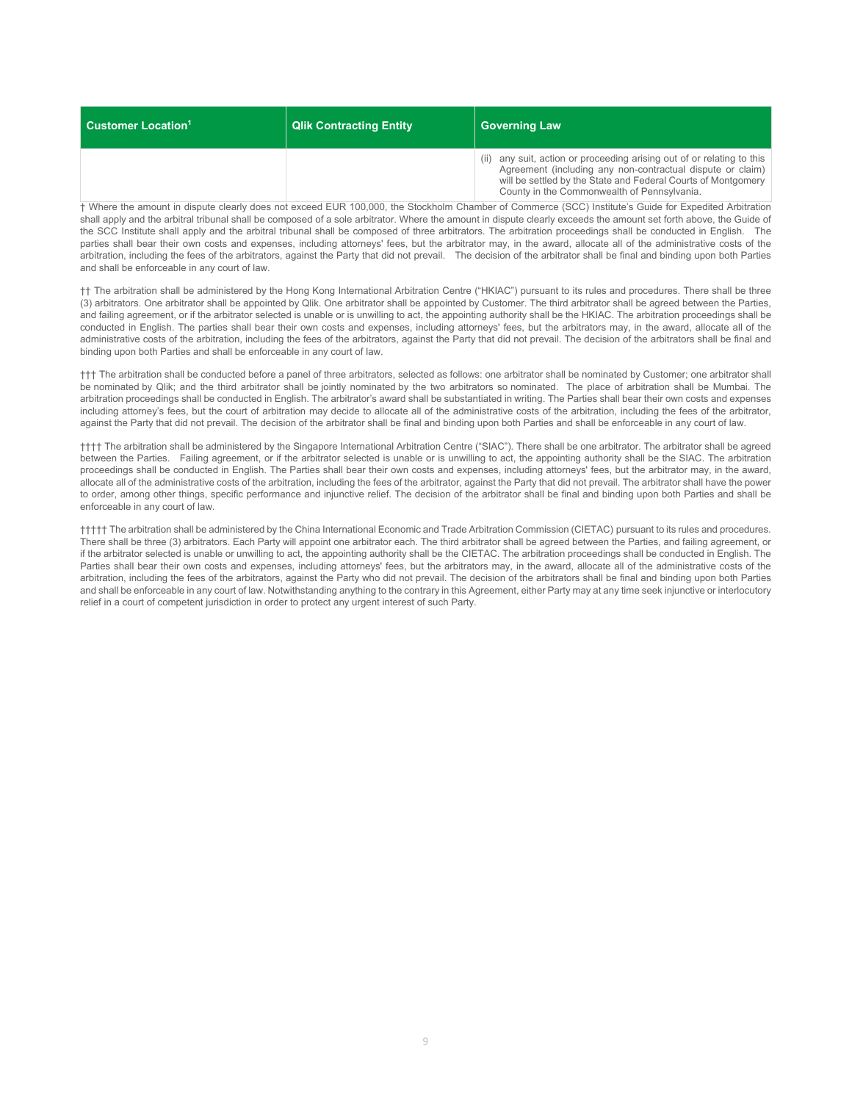| $\blacksquare$ Customer Location $^1$ | <b>Qlik Contracting Entity</b> | <b>Governing Law</b>                                                                                                                                                                                                                                 |
|---------------------------------------|--------------------------------|------------------------------------------------------------------------------------------------------------------------------------------------------------------------------------------------------------------------------------------------------|
|                                       |                                | (ii) any suit, action or proceeding arising out of or relating to this<br>Agreement (including any non-contractual dispute or claim)<br>will be settled by the State and Federal Courts of Montgomery<br>County in the Commonwealth of Pennsylvania. |

† Where the amount in dispute clearly does not exceed EUR 100,000, the Stockholm Chamber of Commerce (SCC) Institute's Guide for Expedited Arbitration shall apply and the arbitral tribunal shall be composed of a sole arbitrator. Where the amount in dispute clearly exceeds the amount set forth above, the Guide of the SCC Institute shall apply and the arbitral tribunal shall be composed of three arbitrators. The arbitration proceedings shall be conducted in English. The parties shall bear their own costs and expenses, including attorneys' fees, but the arbitrator may, in the award, allocate all of the administrative costs of the arbitration, including the fees of the arbitrators, against the Party that did not prevail. The decision of the arbitrator shall be final and binding upon both Parties and shall be enforceable in any court of law.

†† The arbitration shall be administered by the Hong Kong International Arbitration Centre ("HKIAC") pursuant to its rules and procedures. There shall be three (3) arbitrators. One arbitrator shall be appointed by Qlik. One arbitrator shall be appointed by Customer. The third arbitrator shall be agreed between the Parties, and failing agreement, or if the arbitrator selected is unable or is unwilling to act, the appointing authority shall be the HKIAC. The arbitration proceedings shall be conducted in English. The parties shall bear their own costs and expenses, including attorneys' fees, but the arbitrators may, in the award, allocate all of the administrative costs of the arbitration, including the fees of the arbitrators, against the Party that did not prevail. The decision of the arbitrators shall be final and binding upon both Parties and shall be enforceable in any court of law.

††† The arbitration shall be conducted before a panel of three arbitrators, selected as follows: one arbitrator shall be nominated by Customer; one arbitrator shall be nominated by Qlik; and the third arbitrator shall be jointly nominated by the two arbitrators so nominated. The place of arbitration shall be Mumbai. The arbitration proceedings shall be conducted in English. The arbitrator's award shall be substantiated in writing. The Parties shall bear their own costs and expenses including attorney's fees, but the court of arbitration may decide to allocate all of the administrative costs of the arbitration, including the fees of the arbitrator, against the Party that did not prevail. The decision of the arbitrator shall be final and binding upon both Parties and shall be enforceable in any court of law.

†††† The arbitration shall be administered by the Singapore International Arbitration Centre ("SIAC"). There shall be one arbitrator. The arbitrator shall be agreed between the Parties. Failing agreement, or if the arbitrator selected is unable or is unwilling to act, the appointing authority shall be the SIAC. The arbitration proceedings shall be conducted in English. The Parties shall bear their own costs and expenses, including attorneys' fees, but the arbitrator may, in the award, allocate all of the administrative costs of the arbitration, including the fees of the arbitrator, against the Party that did not prevail. The arbitrator shall have the power to order, among other things, specific performance and injunctive relief. The decision of the arbitrator shall be final and binding upon both Parties and shall be enforceable in any court of law.

††††† The arbitration shall be administered by the China International Economic and Trade Arbitration Commission (CIETAC) pursuant to its rules and procedures. There shall be three (3) arbitrators. Each Party will appoint one arbitrator each. The third arbitrator shall be agreed between the Parties, and failing agreement, or if the arbitrator selected is unable or unwilling to act, the appointing authority shall be the CIETAC. The arbitration proceedings shall be conducted in English. The Parties shall bear their own costs and expenses, including attorneys' fees, but the arbitrators may, in the award, allocate all of the administrative costs of the arbitration, including the fees of the arbitrators, against the Party who did not prevail. The decision of the arbitrators shall be final and binding upon both Parties and shall be enforceable in any court of law. Notwithstanding anything to the contrary in this Agreement, either Party may at any time seek injunctive or interlocutory relief in a court of competent jurisdiction in order to protect any urgent interest of such Party.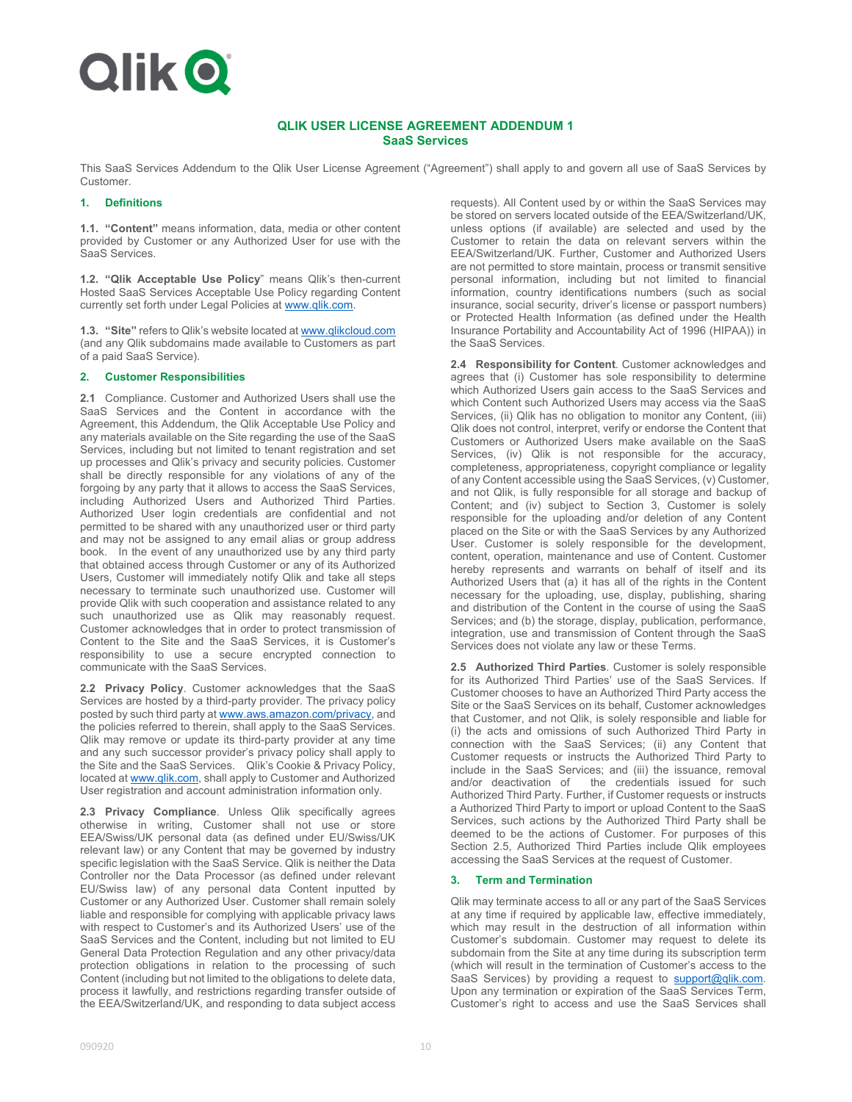# **Qlik O**

## **QLIK USER LICENSE AGREEMENT ADDENDUM 1 SaaS Services**

This SaaS Services Addendum to the Qlik User License Agreement ("Agreement") shall apply to and govern all use of SaaS Services by Customer.

#### **1. Definitions**

**1.1. "Content"** means information, data, media or other content provided by Customer or any Authorized User for use with the SaaS Services.

**1.2. "Qlik Acceptable Use Policy**" means Qlik's then-current Hosted SaaS Services Acceptable Use Policy regarding Content currently set forth under Legal Policies at www.qlik.com.

**1.3. "Site"** refers to Qlik's website located at www.qlikcloud.com (and any Qlik subdomains made available to Customers as part of a paid SaaS Service).

#### **2. Customer Responsibilities**

**2.1** Compliance. Customer and Authorized Users shall use the SaaS Services and the Content in accordance with the Agreement, this Addendum, the Qlik Acceptable Use Policy and any materials available on the Site regarding the use of the SaaS Services, including but not limited to tenant registration and set up processes and Qlik's privacy and security policies. Customer shall be directly responsible for any violations of any of the forgoing by any party that it allows to access the SaaS Services, including Authorized Users and Authorized Third Parties. Authorized User login credentials are confidential and not permitted to be shared with any unauthorized user or third party and may not be assigned to any email alias or group address book. In the event of any unauthorized use by any third party that obtained access through Customer or any of its Authorized Users, Customer will immediately notify Qlik and take all steps necessary to terminate such unauthorized use. Customer will provide Qlik with such cooperation and assistance related to any such unauthorized use as Qlik may reasonably request. Customer acknowledges that in order to protect transmission of Content to the Site and the SaaS Services, it is Customer's responsibility to use a secure encrypted connection to communicate with the SaaS Services.

**2.2 Privacy Policy**. Customer acknowledges that the SaaS Services are hosted by a third-party provider. The privacy policy posted by such third party at www.aws.amazon.com/privacy, and the policies referred to therein, shall apply to the SaaS Services. Qlik may remove or update its third-party provider at any time and any such successor provider's privacy policy shall apply to the Site and the SaaS Services. Qlik's Cookie & Privacy Policy, located at www.qlik.com, shall apply to Customer and Authorized User registration and account administration information only.

**2.3 Privacy Compliance**. Unless Qlik specifically agrees otherwise in writing, Customer shall not use or store EEA/Swiss/UK personal data (as defined under EU/Swiss/UK relevant law) or any Content that may be governed by industry specific legislation with the SaaS Service. Qlik is neither the Data Controller nor the Data Processor (as defined under relevant EU/Swiss law) of any personal data Content inputted by Customer or any Authorized User. Customer shall remain solely liable and responsible for complying with applicable privacy laws with respect to Customer's and its Authorized Users' use of the SaaS Services and the Content, including but not limited to EU General Data Protection Regulation and any other privacy/data protection obligations in relation to the processing of such Content (including but not limited to the obligations to delete data, process it lawfully, and restrictions regarding transfer outside of the EEA/Switzerland/UK, and responding to data subject access

requests). All Content used by or within the SaaS Services may be stored on servers located outside of the EEA/Switzerland/UK, unless options (if available) are selected and used by the Customer to retain the data on relevant servers within the EEA/Switzerland/UK. Further, Customer and Authorized Users are not permitted to store maintain, process or transmit sensitive personal information, including but not limited to financial information, country identifications numbers (such as social insurance, social security, driver's license or passport numbers) or Protected Health Information (as defined under the Health Insurance Portability and Accountability Act of 1996 (HIPAA)) in the SaaS Services.

**2.4 Responsibility for Content**. Customer acknowledges and agrees that (i) Customer has sole responsibility to determine which Authorized Users gain access to the SaaS Services and which Content such Authorized Users may access via the SaaS Services, (ii) Qlik has no obligation to monitor any Content, (iii) Qlik does not control, interpret, verify or endorse the Content that Customers or Authorized Users make available on the SaaS Services, (iv) Qlik is not responsible for the accuracy, completeness, appropriateness, copyright compliance or legality of any Content accessible using the SaaS Services, (v) Customer, and not Qlik, is fully responsible for all storage and backup of Content; and (iv) subject to Section 3, Customer is solely responsible for the uploading and/or deletion of any Content placed on the Site or with the SaaS Services by any Authorized User. Customer is solely responsible for the development, content, operation, maintenance and use of Content. Customer hereby represents and warrants on behalf of itself and its Authorized Users that (a) it has all of the rights in the Content necessary for the uploading, use, display, publishing, sharing and distribution of the Content in the course of using the SaaS Services; and (b) the storage, display, publication, performance, integration, use and transmission of Content through the SaaS Services does not violate any law or these Terms.

**2.5 Authorized Third Parties**. Customer is solely responsible for its Authorized Third Parties' use of the SaaS Services. If Customer chooses to have an Authorized Third Party access the Site or the SaaS Services on its behalf, Customer acknowledges that Customer, and not Qlik, is solely responsible and liable for (i) the acts and omissions of such Authorized Third Party in connection with the SaaS Services; (ii) any Content that Customer requests or instructs the Authorized Third Party to include in the SaaS Services; and (iii) the issuance, removal and/or deactivation of the credentials issued for such Authorized Third Party. Further, if Customer requests or instructs a Authorized Third Party to import or upload Content to the SaaS Services, such actions by the Authorized Third Party shall be deemed to be the actions of Customer. For purposes of this Section 2.5, Authorized Third Parties include Qlik employees accessing the SaaS Services at the request of Customer.

## **3. Term and Termination**

Qlik may terminate access to all or any part of the SaaS Services at any time if required by applicable law, effective immediately, which may result in the destruction of all information within Customer's subdomain. Customer may request to delete its subdomain from the Site at any time during its subscription term (which will result in the termination of Customer's access to the SaaS Services) by providing a request to **support@qlik.com**. Upon any termination or expiration of the SaaS Services Term, Customer's right to access and use the SaaS Services shall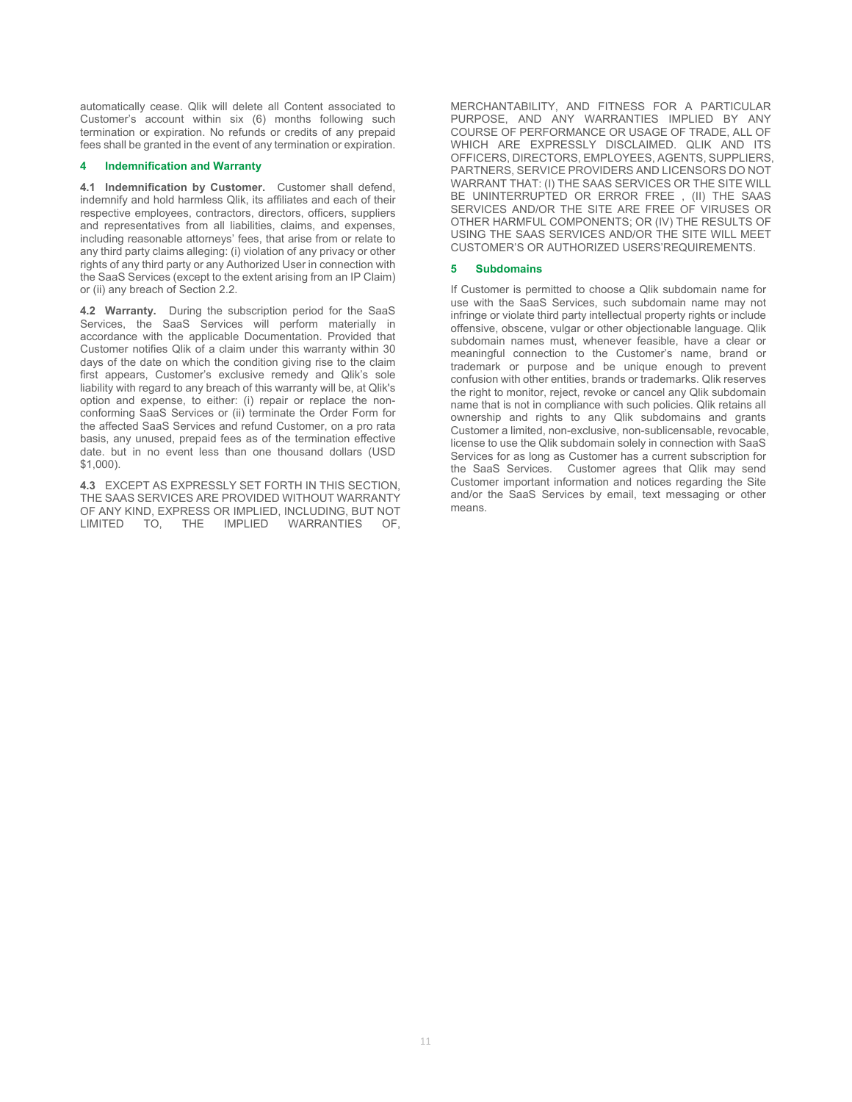automatically cease. Qlik will delete all Content associated to Customer's account within six (6) months following such termination or expiration. No refunds or credits of any prepaid fees shall be granted in the event of any termination or expiration.

#### **4 Indemnification and Warranty**

**4.1 Indemnification by Customer.** Customer shall defend, indemnify and hold harmless Qlik, its affiliates and each of their respective employees, contractors, directors, officers, suppliers and representatives from all liabilities, claims, and expenses, including reasonable attorneys' fees, that arise from or relate to any third party claims alleging: (i) violation of any privacy or other rights of any third party or any Authorized User in connection with the SaaS Services (except to the extent arising from an IP Claim) or (ii) any breach of Section 2.2.

**4.2 Warranty.** During the subscription period for the SaaS Services, the SaaS Services will perform materially in accordance with the applicable Documentation. Provided that Customer notifies Qlik of a claim under this warranty within 30 days of the date on which the condition giving rise to the claim first appears, Customer's exclusive remedy and Qlik's sole liability with regard to any breach of this warranty will be, at Qlik's option and expense, to either: (i) repair or replace the nonconforming SaaS Services or (ii) terminate the Order Form for the affected SaaS Services and refund Customer, on a pro rata basis, any unused, prepaid fees as of the termination effective date. but in no event less than one thousand dollars (USD \$1,000).

**4.3** EXCEPT AS EXPRESSLY SET FORTH IN THIS SECTION, THE SAAS SERVICES ARE PROVIDED WITHOUT WARRANTY OF ANY KIND, EXPRESS OR IMPLIED, INCLUDING, BUT NOT<br>LIMITED TO. THE IMPLIED WARRANTIES OF. LIMITED TO, THE IMPLIED WARRANTIES OF,

MERCHANTABILITY, AND FITNESS FOR A PARTICULAR PURPOSE, AND ANY WARRANTIES IMPLIED BY ANY COURSE OF PERFORMANCE OR USAGE OF TRADE, ALL OF WHICH ARE EXPRESSLY DISCLAIMED. QLIK AND ITS OFFICERS, DIRECTORS, EMPLOYEES, AGENTS, SUPPLIERS, PARTNERS, SERVICE PROVIDERS AND LICENSORS DO NOT WARRANT THAT: (I) THE SAAS SERVICES OR THE SITE WILL BE UNINTERRUPTED OR ERROR FREE , (II) THE SAAS SERVICES AND/OR THE SITE ARE FREE OF VIRUSES OR OTHER HARMFUL COMPONENTS; OR (IV) THE RESULTS OF USING THE SAAS SERVICES AND/OR THE SITE WILL MEET CUSTOMER'S OR AUTHORIZED USERS'REQUIREMENTS.

#### **5 Subdomains**

If Customer is permitted to choose a Qlik subdomain name for use with the SaaS Services, such subdomain name may not infringe or violate third party intellectual property rights or include offensive, obscene, vulgar or other objectionable language. Qlik subdomain names must, whenever feasible, have a clear or meaningful connection to the Customer's name, brand or trademark or purpose and be unique enough to prevent confusion with other entities, brands or trademarks. Qlik reserves the right to monitor, reject, revoke or cancel any Qlik subdomain name that is not in compliance with such policies. Qlik retains all ownership and rights to any Qlik subdomains and grants Customer a limited, non-exclusive, non-sublicensable, revocable, license to use the Qlik subdomain solely in connection with SaaS Services for as long as Customer has a current subscription for the SaaS Services. Customer agrees that Qlik may send Customer important information and notices regarding the Site and/or the SaaS Services by email, text messaging or other means.